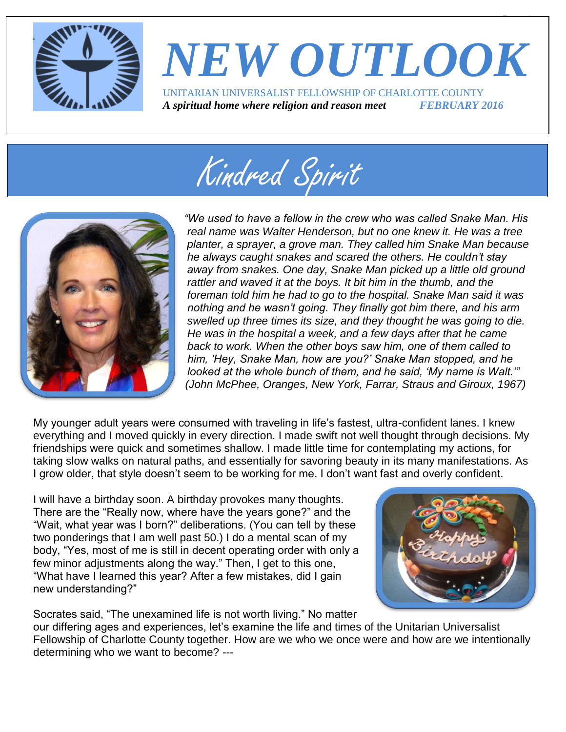

### *NEW OUTLOOK* UNITARIAN UNIVERSALIST FELLOWSHIP OF CHARLOTTE COUNTY *A spiritual home where religion and reason meet FEBRUARY 2016*





*"We used to have a fellow in the crew who was called Snake Man. His real name was Walter Henderson, but no one knew it. He was a tree planter, a sprayer, a grove man. They called him Snake Man because he always caught snakes and scared the others. He couldn't stay away from snakes. One day, Snake Man picked up a little old ground rattler and waved it at the boys. It bit him in the thumb, and the foreman told him he had to go to the hospital. Snake Man said it was nothing and he wasn't going. They finally got him there, and his arm swelled up three times its size, and they thought he was going to die. He was in the hospital a week, and a few days after that he came back to work. When the other boys saw him, one of them called to him, 'Hey, Snake Man, how are you?' Snake Man stopped, and he looked at the whole bunch of them, and he said, 'My name is Walt.'" (John McPhee, Oranges, New York, Farrar, Straus and Giroux, 1967)*

My younger adult years were consumed with traveling in life's fastest, ultra-confident lanes. I knew everything and I moved quickly in every direction. I made swift not well thought through decisions. My friendships were quick and sometimes shallow. I made little time for contemplating my actions, for taking slow walks on natural paths, and essentially for savoring beauty in its many manifestations. As I grow older, that style doesn't seem to be working for me. I don't want fast and overly confident.

I will have a birthday soon. A birthday provokes many thoughts. There are the "Really now, where have the years gone?" and the "Wait, what year was I born?" deliberations. (You can tell by these two ponderings that I am well past 50.) I do a mental scan of my body, "Yes, most of me is still in decent operating order with only a few minor adjustments along the way." Then, I get to this one, "What have I learned this year? After a few mistakes, did I gain new understanding?"



 $\overline{\phantom{a}}$ 

Socrates said, "The unexamined life is not worth living." No matter our differing ages and experiences, let's examine the life and times of the Unitarian Universalist Fellowship of Charlotte County together. How are we who we once were and how are we intentionally determining who we want to become? ---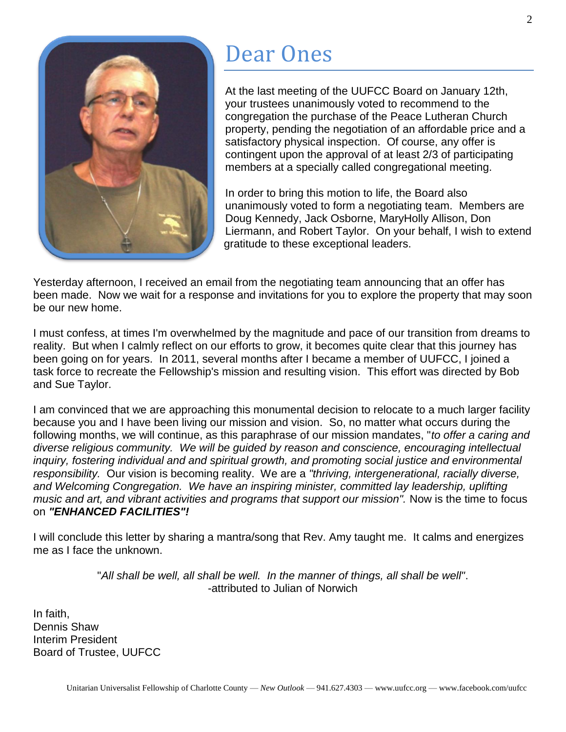

### Dear Ones

At the last meeting of the UUFCC Board on January 12th, your trustees unanimously voted to recommend to the congregation the purchase of the Peace Lutheran Church property, pending the negotiation of an affordable price and a satisfactory physical inspection. Of course, any offer is contingent upon the approval of at least 2/3 of participating members at a specially called congregational meeting.

In order to bring this motion to life, the Board also unanimously voted to form a negotiating team. Members are Doug Kennedy, Jack Osborne, MaryHolly Allison, Don Liermann, and Robert Taylor. On your behalf, I wish to extend gratitude to these exceptional leaders.

Yesterday afternoon, I received an email from the negotiating team announcing that an offer has been made. Now we wait for a response and invitations for you to explore the property that may soon be our new home.

I must confess, at times I'm overwhelmed by the magnitude and pace of our transition from dreams to reality. But when I calmly reflect on our efforts to grow, it becomes quite clear that this journey has been going on for years. In 2011, several months after I became a member of UUFCC, I joined a task force to recreate the Fellowship's mission and resulting vision. This effort was directed by Bob and Sue Taylor.

I am convinced that we are approaching this monumental decision to relocate to a much larger facility because you and I have been living our mission and vision. So, no matter what occurs during the following months, we will continue, as this paraphrase of our mission mandates, "*to offer a caring and diverse religious community. We will be guided by reason and conscience, encouraging intellectual inquiry, fostering individual and and spiritual growth, and promoting social justice and environmental responsibility.* Our vision is becoming reality. We are a *"thriving, intergenerational, racially diverse, and Welcoming Congregation. We have an inspiring minister, committed lay leadership, uplifting music and art, and vibrant activities and programs that support our mission".* Now is the time to focus on *"ENHANCED FACILITIES"!*

I will conclude this letter by sharing a mantra/song that Rev. Amy taught me. It calms and energizes me as I face the unknown.

> "*All shall be well, all shall be well. In the manner of things, all shall be well"*. -attributed to Julian of Norwich

In faith, Dennis Shaw Interim President Board of Trustee, UUFCC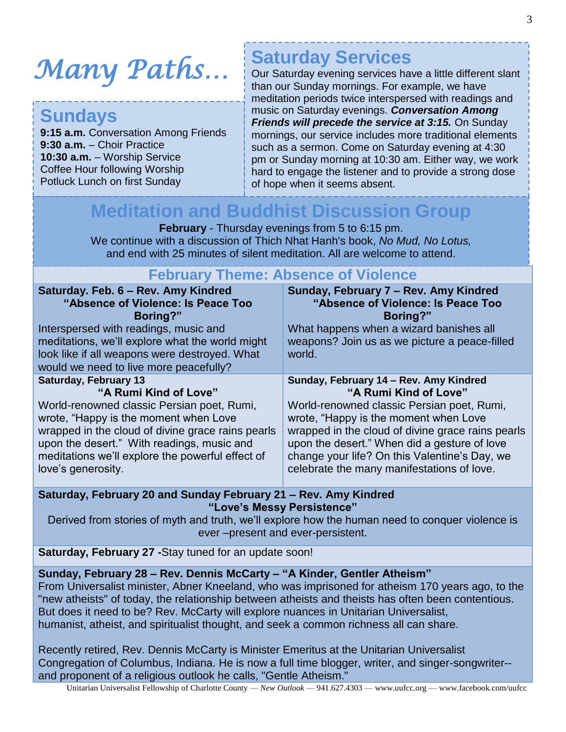# *Many Paths…*

### **Sundays**

**9:15 a.m.** Conversation Among Friends **9:30 a.m.** – Choir Practice **10:30 a.m.** – Worship Service Coffee Hour following Worship Potluck Lunch on first Sunday

### **Saturday Services**

Our Saturday evening services have a little different slant than our Sunday mornings. For example, we have meditation periods twice interspersed with readings and music on Saturday evenings. *Conversation Among Friends will precede the service at 3:15.* On Sunday mornings, our service includes more traditional elements such as a sermon. Come on Saturday evening at 4:30 pm or Sunday morning at 10:30 am. Either way, we work hard to engage the listener and to provide a strong dose of hope when it seems absent.

### **Meditation and Buddhist Discussion Group**

**February** - Thursday evenings from 5 to 6:15 pm. We continue with a discussion of Thich Nhat Hanh's book, *No Mud, No Lotus,* and end with 25 minutes of silent meditation. All are welcome to attend.

#### **February Theme: Absence of Violence**

| Saturday. Feb. 6 - Rev. Amy Kindred<br>"Absence of Violence: Is Peace Too<br>Boring?"<br>Interspersed with readings, music and<br>meditations, we'll explore what the world might<br>look like if all weapons were destroyed. What<br>would we need to live more peacefully? | Sunday, February 7 - Rev. Amy Kindred<br>"Absence of Violence: Is Peace Too<br>Boring?"<br>What happens when a wizard banishes all<br>weapons? Join us as we picture a peace-filled<br>world. |
|------------------------------------------------------------------------------------------------------------------------------------------------------------------------------------------------------------------------------------------------------------------------------|-----------------------------------------------------------------------------------------------------------------------------------------------------------------------------------------------|
| <b>Saturday, February 13</b>                                                                                                                                                                                                                                                 | Sunday, February 14 - Rev. Amy Kindred                                                                                                                                                        |
| "A Rumi Kind of Love"                                                                                                                                                                                                                                                        | "A Rumi Kind of Love"                                                                                                                                                                         |
| World-renowned classic Persian poet, Rumi,                                                                                                                                                                                                                                   | World-renowned classic Persian poet, Rumi,                                                                                                                                                    |
| wrote, "Happy is the moment when Love"                                                                                                                                                                                                                                       | wrote, "Happy is the moment when Love"                                                                                                                                                        |
| wrapped in the cloud of divine grace rains pearls                                                                                                                                                                                                                            | wrapped in the cloud of divine grace rains pearls                                                                                                                                             |
| upon the desert." With readings, music and                                                                                                                                                                                                                                   | upon the desert." When did a gesture of love                                                                                                                                                  |
| meditations we'll explore the powerful effect of                                                                                                                                                                                                                             | change your life? On this Valentine's Day, we                                                                                                                                                 |
| love's generosity.                                                                                                                                                                                                                                                           | celebrate the many manifestations of love.                                                                                                                                                    |

**Saturday, February 20 and Sunday February 21 – Rev. Amy Kindred "Love's Messy Persistence"**

Derived from stories of myth and truth, we'll explore how the human need to conquer violence is ever –present and ever-persistent.

**Saturday, February 27 -**Stay tuned for an update soon!

**Sunday, February 28 – Rev. Dennis McCarty – "A Kinder, Gentler Atheism"**

From Universalist minister, Abner Kneeland, who was imprisoned for atheism 170 years ago, to the "new atheists" of today, the relationship between atheists and theists has often been contentious. But does it need to be? Rev. McCarty will explore nuances in Unitarian Universalist, humanist, atheist, and spiritualist thought, and seek a common richness all can share.

Recently retired, Rev. Dennis McCarty is Minister Emeritus at the Unitarian Universalist Congregation of Columbus, Indiana. He is now a full time blogger, writer, and singer-songwriter- and proponent of a religious outlook he calls, "Gentle Atheism."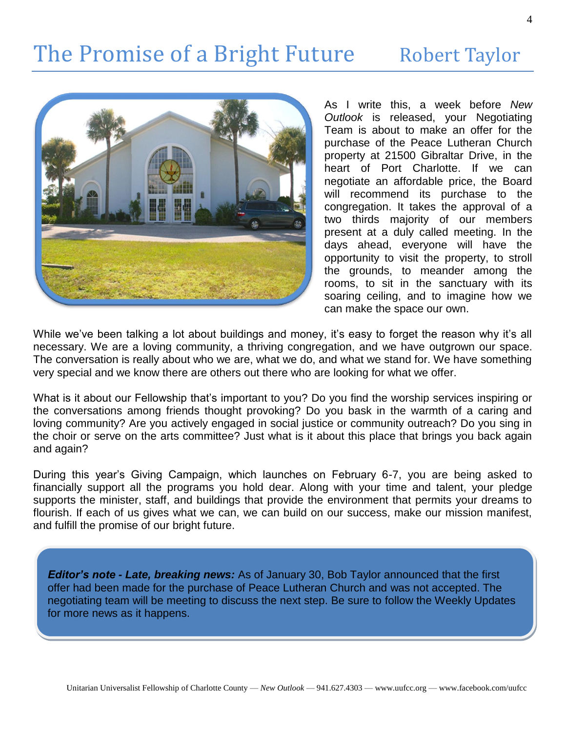# The Promise of a Bright Future Robert Taylor



As I write this, a week before *New Outlook* is released, your Negotiating Team is about to make an offer for the purchase of the Peace Lutheran Church property at 21500 Gibraltar Drive, in the heart of Port Charlotte. If we can negotiate an affordable price, the Board will recommend its purchase to the congregation. It takes the approval of a two thirds majority of our members present at a duly called meeting. In the days ahead, everyone will have the opportunity to visit the property, to stroll the grounds, to meander among the rooms, to sit in the sanctuary with its soaring ceiling, and to imagine how we can make the space our own.

While we've been talking a lot about buildings and money, it's easy to forget the reason why it's all necessary. We are a loving community, a thriving congregation, and we have outgrown our space. The conversation is really about who we are, what we do, and what we stand for. We have something very special and we know there are others out there who are looking for what we offer.

What is it about our Fellowship that's important to you? Do you find the worship services inspiring or the conversations among friends thought provoking? Do you bask in the warmth of a caring and loving community? Are you actively engaged in social justice or community outreach? Do you sing in the choir or serve on the arts committee? Just what is it about this place that brings you back again and again?

During this year's Giving Campaign, which launches on February 6-7, you are being asked to financially support all the programs you hold dear. Along with your time and talent, your pledge supports the minister, staff, and buildings that provide the environment that permits your dreams to flourish. If each of us gives what we can, we can build on our success, make our mission manifest, and fulfill the promise of our bright future.

*Editor's note - Late, breaking news:* As of January 30, Bob Taylor announced that the first offer had been made for the purchase of Peace Lutheran Church and was not accepted. The negotiating team will be meeting to discuss the next step. Be sure to follow the Weekly Updates for more news as it happens.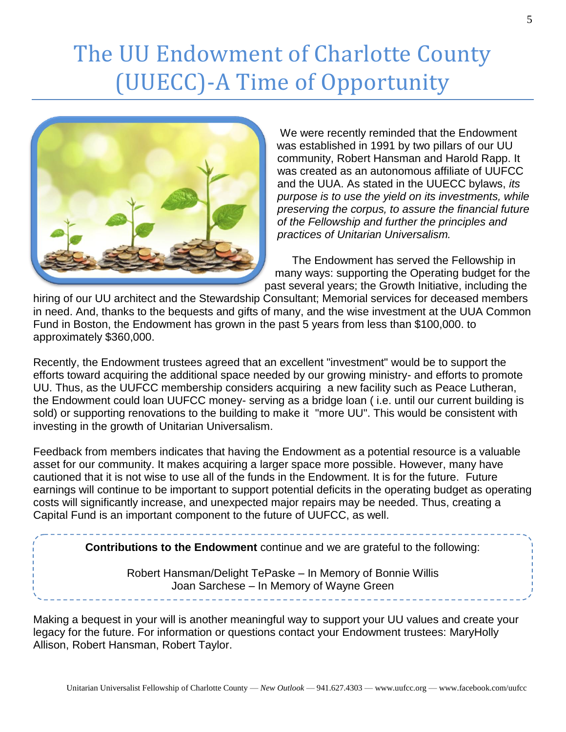# The UU Endowment of Charlotte County (UUECC)-A Time of Opportunity



We were recently reminded that the Endowment was established in 1991 by two pillars of our UU community, Robert Hansman and Harold Rapp. It was created as an autonomous affiliate of UUFCC and the UUA. As stated in the UUECC bylaws, *its purpose is to use the yield on its investments, while preserving the corpus, to assure the financial future of the Fellowship and further the principles and practices of Unitarian Universalism.*

The Endowment has served the Fellowship in many ways: supporting the Operating budget for the past several years; the Growth Initiative, including the

hiring of our UU architect and the Stewardship Consultant; Memorial services for deceased members in need. And, thanks to the bequests and gifts of many, and the wise investment at the UUA Common Fund in Boston, the Endowment has grown in the past 5 years from less than \$100,000. to approximately \$360,000.

Recently, the Endowment trustees agreed that an excellent "investment" would be to support the efforts toward acquiring the additional space needed by our growing ministry- and efforts to promote UU. Thus, as the UUFCC membership considers acquiring a new facility such as Peace Lutheran, the Endowment could loan UUFCC money- serving as a bridge loan ( i.e. until our current building is sold) or supporting renovations to the building to make it "more UU". This would be consistent with investing in the growth of Unitarian Universalism.

Feedback from members indicates that having the Endowment as a potential resource is a valuable asset for our community. It makes acquiring a larger space more possible. However, many have cautioned that it is not wise to use all of the funds in the Endowment. It is for the future. Future earnings will continue to be important to support potential deficits in the operating budget as operating costs will significantly increase, and unexpected major repairs may be needed. Thus, creating a Capital Fund is an important component to the future of UUFCC, as well.

**Contributions to the Endowment** continue and we are grateful to the following:

Robert Hansman/Delight TePaske – In Memory of Bonnie Willis Joan Sarchese – In Memory of Wayne Green

Making a bequest in your will is another meaningful way to support your UU values and create your legacy for the future. For information or questions contact your Endowment trustees: MaryHolly Allison, Robert Hansman, Robert Taylor.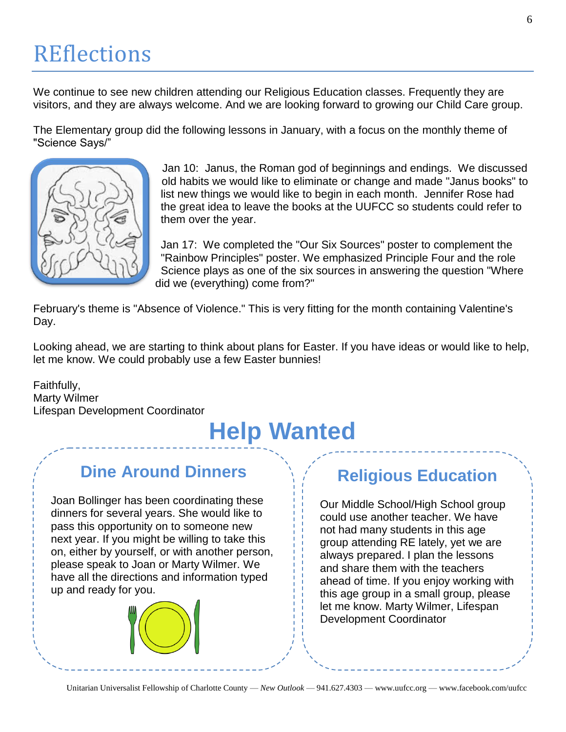### **REflections**

We continue to see new children attending our Religious Education classes. Frequently they are visitors, and they are always welcome. And we are looking forward to growing our Child Care group.

The Elementary group did the following lessons in January, with a focus on the monthly theme of "Science Says/"



Jan 10: Janus, the Roman god of beginnings and endings. We discussed old habits we would like to eliminate or change and made "Janus books" to list new things we would like to begin in each month. Jennifer Rose had the great idea to leave the books at the UUFCC so students could refer to them over the year.

Jan 17: We completed the "Our Six Sources" poster to complement the "Rainbow Principles" poster. We emphasized Principle Four and the role Science plays as one of the six sources in answering the question "Where did we (everything) come from?"

February's theme is "Absence of Violence." This is very fitting for the month containing Valentine's Day.

Looking ahead, we are starting to think about plans for Easter. If you have ideas or would like to help, let me know. We could probably use a few Easter bunnies!

Faithfully, Marty Wilmer Lifespan Development Coordinator

# **Help Wanted**

### **Dine Around Dinners**

Joan Bollinger has been coordinating these dinners for several years. She would like to pass this opportunity on to someone new next year. If you might be willing to take this on, either by yourself, or with another person, please speak to Joan or Marty Wilmer. We have all the directions and information typed up and ready for you.



### **Religious Education**

Our Middle School/High School group could use another teacher. We have not had many students in this age group attending RE lately, yet we are always prepared. I plan the lessons and share them with the teachers ahead of time. If you enjoy working with this age group in a small group, please let me know. Marty Wilmer, Lifespan Development Coordinator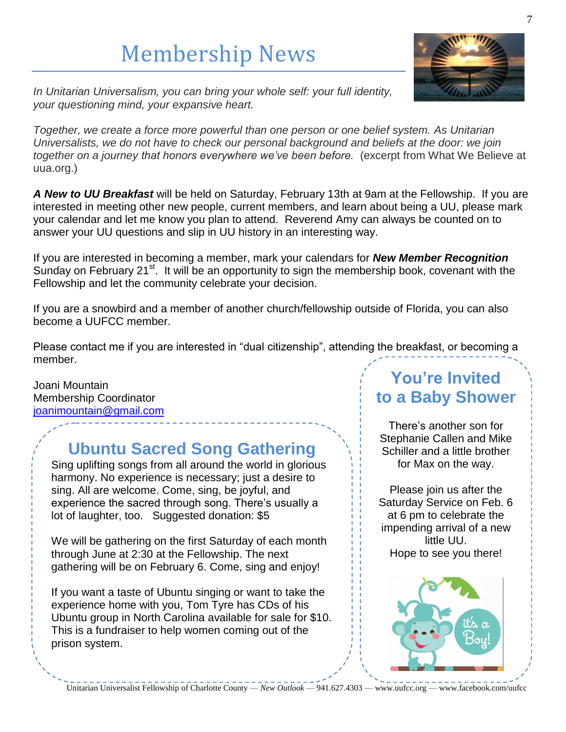# Membership News



*In Unitarian Universalism, you can bring your whole self: your full identity, your questioning mind, your expansive heart.*

*Together, we create a force more powerful than one person or one belief system. As Unitarian Universalists, we do not have to check our personal background and beliefs at the door: we join together on a journey that honors everywhere we've been before.* (excerpt from What We Believe at uua.org.)

*A New to UU Breakfast* will be held on Saturday, February 13th at 9am at the Fellowship. If you are interested in meeting other new people, current members, and learn about being a UU, please mark your calendar and let me know you plan to attend. Reverend Amy can always be counted on to answer your UU questions and slip in UU history in an interesting way.

If you are interested in becoming a member, mark your calendars for *New Member Recognition* Sunday on February 21 $\mathrm{st}$ . It will be an opportunity to sign the membership book, covenant with the Fellowship and let the community celebrate your decision.

If you are a snowbird and a member of another church/fellowship outside of Florida, you can also become a UUFCC member.

Please contact me if you are interested in "dual citizenship", attending the breakfast, or becoming a member.

Joani Mountain Membership Coordinator [joanimountain@gmail.com](mailto:joanimountain@gmail.com)

### **Ubuntu Sacred Song Gathering**

Sing uplifting songs from all around the world in glorious harmony. No experience is necessary; just a desire to sing. All are welcome. Come, sing, be joyful, and experience the sacred through song. There's usually a lot of laughter, too. Suggested donation: \$5

We will be gathering on the first Saturday of each month through June at 2:30 at the Fellowship. The next gathering will be on February 6. Come, sing and enjoy!

If you want a taste of Ubuntu singing or want to take the experience home with you, Tom Tyre has CDs of his Ubuntu group in North Carolina available for sale for \$10. This is a fundraiser to help women coming out of the prison system.

### **You're Invited to a Baby Shower**

There's another son for Stephanie Callen and Mike Schiller and a little brother for Max on the way.

Please join us after the Saturday Service on Feb. 6 at 6 pm to celebrate the impending arrival of a new little UU. Hope to see you there!

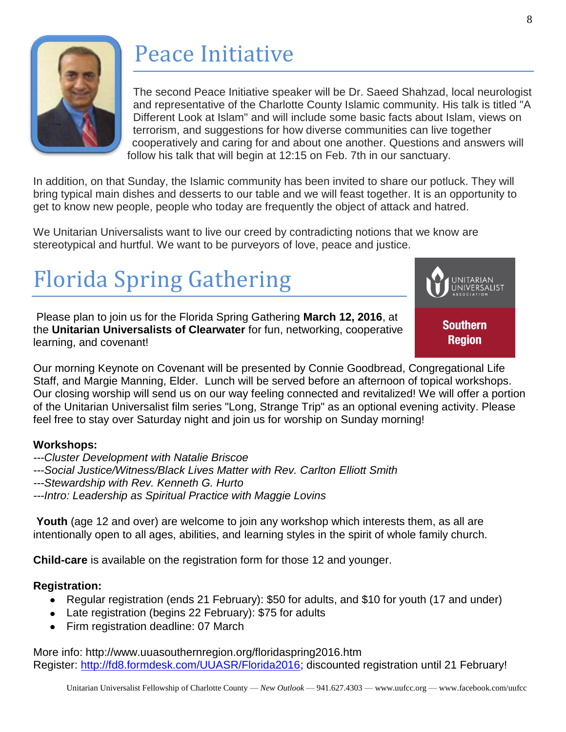

# Peace Initiative

The second Peace Initiative speaker will be Dr. Saeed Shahzad, local neurologist and representative of the Charlotte County Islamic community. His talk is titled "A Different Look at Islam" and will include some basic facts about Islam, views on terrorism, and suggestions for how diverse communities can live together cooperatively and caring for and about one another. Questions and answers will follow his talk that will begin at 12:15 on Feb. 7th in our sanctuary.

In addition, on that Sunday, the Islamic community has been invited to share our potluck. They will bring typical main dishes and desserts to our table and we will feast together. It is an opportunity to get to know new people, people who today are frequently the object of attack and hatred.

We Unitarian Universalists want to live our creed by contradicting notions that we know are stereotypical and hurtful. We want to be purveyors of love, peace and justice.

# Florida Spring Gathering

Please plan to join us for the Florida Spring Gathering **March 12, 2016**, at the **Unitarian Universalists of Clearwater** for fun, networking, cooperative learning, and covenant!



Our morning Keynote on Covenant will be presented by Connie Goodbread, Congregational Life Staff, and Margie Manning, Elder. Lunch will be served before an afternoon of topical workshops. Our closing worship will send us on our way feeling connected and revitalized! We will offer a portion of the Unitarian Universalist film series "Long, Strange Trip" as an optional evening activity. Please feel free to stay over Saturday night and join us for worship on Sunday morning!

#### **Workshops:**

- *---Cluster Development with Natalie Briscoe*
- *---Social Justice/Witness/Black Lives Matter with Rev. Carlton Elliott Smith*
- *---Stewardship with Rev. Kenneth G. Hurto*
- *---Intro: Leadership as Spiritual Practice with Maggie Lovins*

**Youth** (age 12 and over) are welcome to join any workshop which interests them, as all are intentionally open to all ages, abilities, and learning styles in the spirit of whole family church.

**Child-care** is available on the registration form for those 12 and younger.

#### **Registration:**

- Regular registration (ends 21 February): \$50 for adults, and \$10 for youth (17 and under)
- Late registration (begins 22 February): \$75 for adults
- Firm registration deadline: 07 March

More info: http://www.uuasouthernregion.org/floridaspring2016.htm Register: [http://fd8.formdesk.com/UUASR/Florida2016;](http://fd8.formdesk.com/UUASR/Florida2016) discounted registration until 21 February!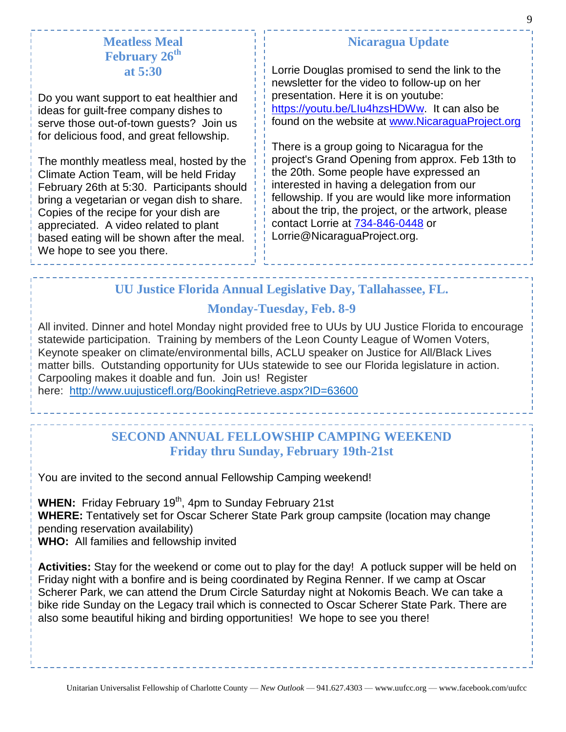#### **Meatless Meal February 26th at 5:30**

Do you want support to eat healthier and ideas for guilt-free company dishes to serve those out-of-town guests? Join us for delicious food, and great fellowship.

The monthly meatless meal, hosted by the Climate Action Team, will be held Friday February 26th at 5:30. Participants should bring a vegetarian or vegan dish to share. Copies of the recipe for your dish are appreciated. A video related to plant based eating will be shown after the meal. We hope to see you there.

#### **Nicaragua Update**

Lorrie Douglas promised to send the link to the newsletter for the video to follow-up on her presentation. Here it is on youtube: [https://youtu.be/LIu4hzsHDWw.](https://youtu.be/LIu4hzsHDWw) It can also be found on the website at [www.NicaraguaProject.org](http://www.nicaraguaproject.org/)

There is a group going to Nicaragua for the project's Grand Opening from approx. Feb 13th to the 20th. Some people have expressed an interested in having a delegation from our fellowship. If you are would like more information about the trip, the project, or the artwork, please contact Lorrie at [734-846-0448](tel:734-846-0448) or Lorrie@NicaraguaProject.org.

#### **UU Justice Florida Annual Legislative Day, Tallahassee, FL.**

#### **Monday-Tuesday, Feb. 8-9**

All invited. Dinner and hotel Monday night provided free to UUs by UU Justice Florida to encourage statewide participation. Training by members of the Leon County League of Women Voters, Keynote speaker on climate/environmental bills, ACLU speaker on Justice for All/Black Lives matter bills. Outstanding opportunity for UUs statewide to see our Florida legislature in action. Carpooling makes it doable and fun. Join us! Register

here: <http://www.uujusticefl.org/BookingRetrieve.aspx?ID=63600>

#### **SECOND ANNUAL FELLOWSHIP CAMPING WEEKEND Friday thru Sunday, February 19th-21st**

You are invited to the second annual Fellowship Camping weekend!

WHEN: Friday February 19<sup>th</sup>, 4pm to Sunday February 21st **WHERE:** Tentatively set for Oscar Scherer State Park group campsite (location may change pending reservation availability)

**WHO:** All families and fellowship invited

**Activities:** Stay for the weekend or come out to play for the day! A potluck supper will be held on Friday night with a bonfire and is being coordinated by Regina Renner. If we camp at Oscar Scherer Park, we can attend the Drum Circle Saturday night at Nokomis Beach. We can take a bike ride Sunday on the Legacy trail which is connected to Oscar Scherer State Park. There are also some beautiful hiking and birding opportunities! We hope to see you there!

9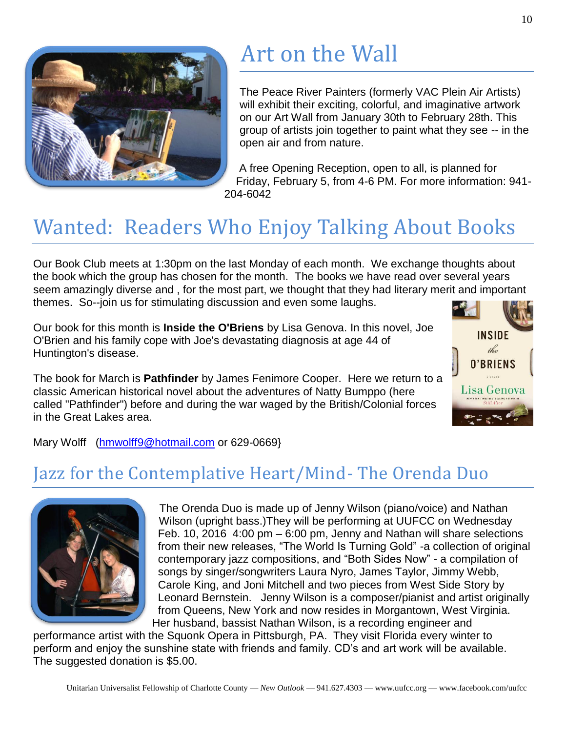

## Art on the Wall

The Peace River Painters (formerly VAC Plein Air Artists) will exhibit their exciting, colorful, and imaginative artwork on our Art Wall from January 30th to February 28th. This group of artists join together to paint what they see -- in the open air and from nature.

A free Opening Reception, open to all, is planned for Friday, February 5, from 4-6 PM. For more information: 941- 204-6042

### Wanted: Readers Who Enjoy Talking About Books

Our Book Club meets at 1:30pm on the last Monday of each month. We exchange thoughts about the book which the group has chosen for the month. The books we have read over several years seem amazingly diverse and , for the most part, we thought that they had literary merit and important themes. So--join us for stimulating discussion and even some laughs.

Our book for this month is **Inside the O'Briens** by Lisa Genova. In this novel, Joe O'Brien and his family cope with Joe's devastating diagnosis at age 44 of Huntington's disease.

The book for March is **Pathfinder** by James Fenimore Cooper. Here we return to a classic American historical novel about the adventures of Natty Bumppo (here called "Pathfinder") before and during the war waged by the British/Colonial forces in the Great Lakes area.



Mary Wolff [\(hmwolff9@hotmail.com](mailto:hmwolff9@hotmail.com) or 629-0669}

### Jazz for the Contemplative Heart/Mind- The Orenda Duo



The Orenda Duo is made up of Jenny Wilson (piano/voice) and Nathan Wilson (upright bass.)They will be performing at UUFCC on Wednesday Feb. 10, 2016 4:00 pm – 6:00 pm, Jenny and Nathan will share selections from their new releases, "The World Is Turning Gold" -a collection of original contemporary jazz compositions, and "Both Sides Now" - a compilation of songs by singer/songwriters Laura Nyro, James Taylor, Jimmy Webb, Carole King, and Joni Mitchell and two pieces from West Side Story by Leonard Bernstein. Jenny Wilson is a composer/pianist and artist originally from Queens, New York and now resides in Morgantown, West Virginia. Her husband, bassist Nathan Wilson, is a recording engineer and

performance artist with the Squonk Opera in Pittsburgh, PA. They visit Florida every winter to perform and enjoy the sunshine state with friends and family. CD's and art work will be available. The suggested donation is \$5.00.